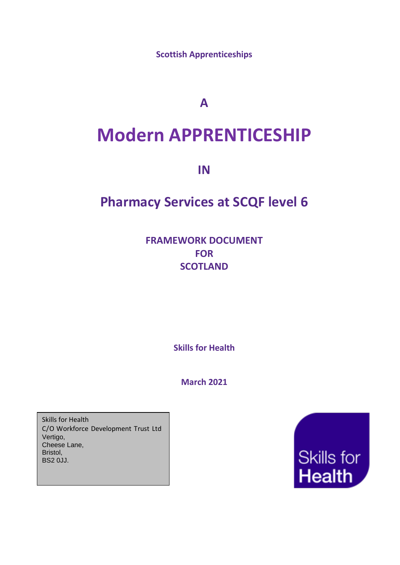**Scottish Apprenticeships**

**A**

# **Modern APPRENTICESHIP**

**IN**

# **Pharmacy Services at SCQF level 6**

**FRAMEWORK DOCUMENT FOR SCOTLAND**

**Skills for Health**

**March 2021**

Skills for Health C/O Workforce Development Trust Ltd Vertigo, Cheese Lane, Bristol, BS2 0JJ.

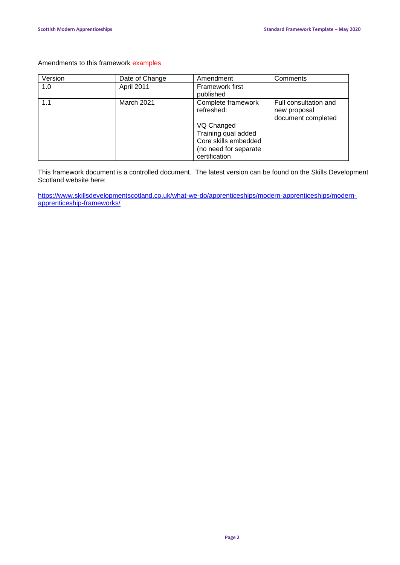# Amendments to this framework examples

| Version | Date of Change | Amendment                                                                                                                               | Comments                                                    |
|---------|----------------|-----------------------------------------------------------------------------------------------------------------------------------------|-------------------------------------------------------------|
| 1.0     | April 2011     | <b>Framework first</b><br>published                                                                                                     |                                                             |
| 1.1     | March 2021     | Complete framework<br>refreshed:<br>VQ Changed<br>Training qual added<br>Core skills embedded<br>(no need for separate<br>certification | Full consultation and<br>new proposal<br>document completed |

This framework document is a controlled document. The latest version can be found on the Skills Development Scotland website here:

[https://www.skillsdevelopmentscotland.co.uk/what-we-do/apprenticeships/modern-apprenticeships/modern](https://www.skillsdevelopmentscotland.co.uk/what-we-do/apprenticeships/modern-apprenticeships/modern-apprenticeship-frameworks/)[apprenticeship-frameworks/](https://www.skillsdevelopmentscotland.co.uk/what-we-do/apprenticeships/modern-apprenticeships/modern-apprenticeship-frameworks/)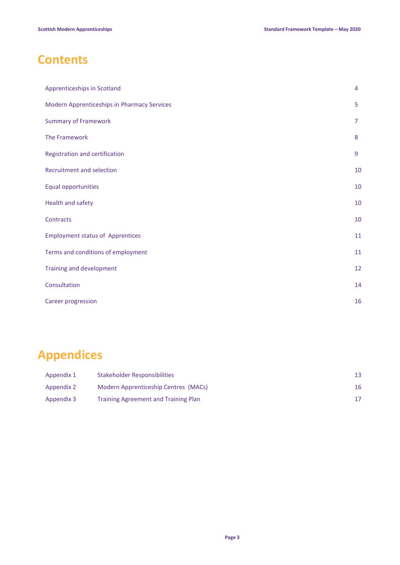# **Contents**

| Apprenticeships in Scotland                 | 4              |
|---------------------------------------------|----------------|
| Modern Apprenticeships in Pharmacy Services | 5              |
| <b>Summary of Framework</b>                 | $\overline{7}$ |
| The Framework                               | 8              |
| Registration and certification              | 9              |
| Recruitment and selection                   | 10             |
| Equal opportunities                         | 10             |
| Health and safety                           | 10             |
| Contracts                                   | 10             |
| <b>Employment status of Apprentices</b>     | 11             |
| Terms and conditions of employment          | 11             |
| Training and development                    | 12             |
| Consultation                                | 14             |
| Career progression                          | 16             |

# **Appendices**

| Appendix 1 | Stakeholder Responsibilities                | 13 |
|------------|---------------------------------------------|----|
| Appendix 2 | Modern Apprenticeship Centres (MACs)        | 16 |
| Appendix 3 | <b>Training Agreement and Training Plan</b> |    |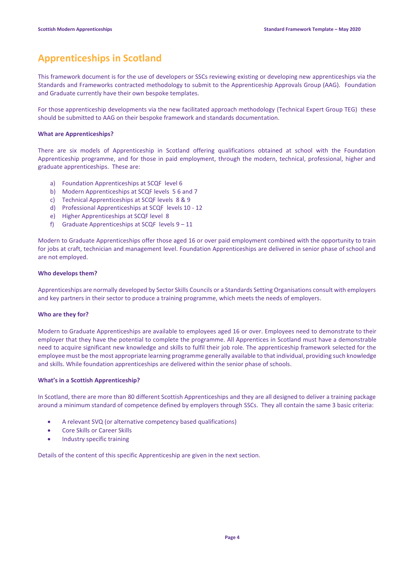# **Apprenticeships in Scotland**

This framework document is for the use of developers or SSCs reviewing existing or developing new apprenticeships via the Standards and Frameworks contracted methodology to submit to the Apprenticeship Approvals Group (AAG). Foundation and Graduate currently have their own bespoke templates.

For those apprenticeship developments via the new facilitated approach methodology (Technical Expert Group TEG) these should be submitted to AAG on their bespoke framework and standards documentation.

#### **What are Apprenticeships?**

There are six models of Apprenticeship in Scotland offering qualifications obtained at school with the Foundation Apprenticeship programme, and for those in paid employment, through the modern, technical, professional, higher and graduate apprenticeships. These are:

- a) Foundation Apprenticeships at SCQF level 6
- b) Modern Apprenticeships at SCQF levels 5 6 and 7
- c) Technical Apprenticeships at SCQF levels 8 & 9
- d) Professional Apprenticeships at SCQF levels 10 12
- e) Higher Apprenticeships at SCQF level 8
- f) Graduate Apprenticeships at SCQF levels 9 11

Modern to Graduate Apprenticeships offer those aged 16 or over paid employment combined with the opportunity to train for jobs at craft, technician and management level. Foundation Apprenticeships are delivered in senior phase of school and are not employed.

#### **Who develops them?**

Apprenticeships are normally developed by Sector Skills Councils or a Standards Setting Organisations consult with employers and key partners in their sector to produce a training programme, which meets the needs of employers.

#### **Who are they for?**

Modern to Graduate Apprenticeships are available to employees aged 16 or over. Employees need to demonstrate to their employer that they have the potential to complete the programme. All Apprentices in Scotland must have a demonstrable need to acquire significant new knowledge and skills to fulfil their job role. The apprenticeship framework selected for the employee must be the most appropriate learning programme generally available to that individual, providing such knowledge and skills. While foundation apprenticeships are delivered within the senior phase of schools.

#### **What's in a Scottish Apprenticeship?**

In Scotland, there are more than 80 different Scottish Apprenticeships and they are all designed to deliver a training package around a minimum standard of competence defined by employers through SSCs. They all contain the same 3 basic criteria:

- A relevant SVQ (or alternative competency based qualifications)
- Core Skills or Career Skills
- Industry specific training

Details of the content of this specific Apprenticeship are given in the next section.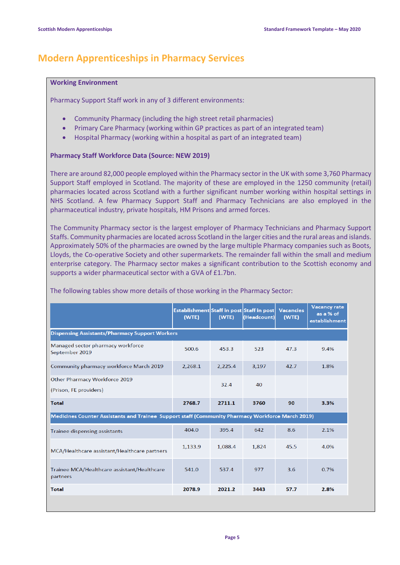# **Modern Apprenticeships in Pharmacy Services**

### **Working Environment**

Pharmacy Support Staff work in any of 3 different environments:

- Community Pharmacy (including the high street retail pharmacies)
- Primary Care Pharmacy (working within GP practices as part of an integrated team)
- Hospital Pharmacy (working within a hospital as part of an integrated team)

### **Pharmacy Staff Workforce Data (Source: NEW 2019)**

There are around 82,000 people employed within the Pharmacy sector in the UK with some 3,760 Pharmacy Support Staff employed in Scotland. The majority of these are employed in the 1250 community (retail) pharmacies located across Scotland with a further significant number working within hospital settings in NHS Scotland. A few Pharmacy Support Staff and Pharmacy Technicians are also employed in the pharmaceutical industry, private hospitals, HM Prisons and armed forces.

The Community Pharmacy sector is the largest employer of Pharmacy Technicians and Pharmacy Support Staffs. Community pharmacies are located across Scotland in the larger cities and the rural areas and islands. Approximately 50% of the pharmacies are owned by the large multiple Pharmacy companies such as Boots, Lloyds, the Co-operative Society and other supermarkets. The remainder fall within the small and medium enterprise category. The Pharmacy sector makes a significant contribution to the Scottish economy and supports a wider pharmaceutical sector with a GVA of £1.7bn.

|                                                                                                  | Establishment Staff in post Staff in post<br>(WTE) | (WTE)   | (Headcount) | <b>Vacancies</b><br>(WTE) | <b>Vacancy rate</b><br>as a % of<br>establishment |
|--------------------------------------------------------------------------------------------------|----------------------------------------------------|---------|-------------|---------------------------|---------------------------------------------------|
| <b>Dispensing Assistants/Pharmacy Support Workers</b>                                            |                                                    |         |             |                           |                                                   |
| Managed sector pharmacy workforce<br>September 2019                                              | 500.6                                              | 453.3   | 523         | 47.3                      | 9.4%                                              |
| Community pharmacy workforce March 2019                                                          | 2,268.1                                            | 2,225.4 | 3,197       | 42.7                      | 1.8%                                              |
| Other Pharmacy Workforce 2019<br>(Prison, FE providers)                                          |                                                    | 32.4    | 40          |                           |                                                   |
| <b>Total</b>                                                                                     | 2768.7                                             | 2711.1  | 3760        | 90                        | 3.3%                                              |
| Medicines Counter Assistants and Trainee Support staff (Community Pharmacy Workforce March 2019) |                                                    |         |             |                           |                                                   |
| <b>Trainee dispensing assistants</b>                                                             | 404.0                                              | 395.4   | 642         | 8.6                       | 2.1%                                              |
| MCA/Healthcare assistant/Healthcare partners                                                     | 1,133.9                                            | 1,088.4 | 1,824       | 45.5                      | 4.0%                                              |
| Trainee MCA/Healthcare assistant/Healthcare<br>partners                                          | 541.0                                              | 537.4   | 977         | 3.6                       | 0.7%                                              |
| <b>Total</b>                                                                                     | 2078.9                                             | 2021.2  | 3443        | 57.7                      | 2.8%                                              |
|                                                                                                  |                                                    |         |             |                           |                                                   |

The following tables show more details of those working in the Pharmacy Sector: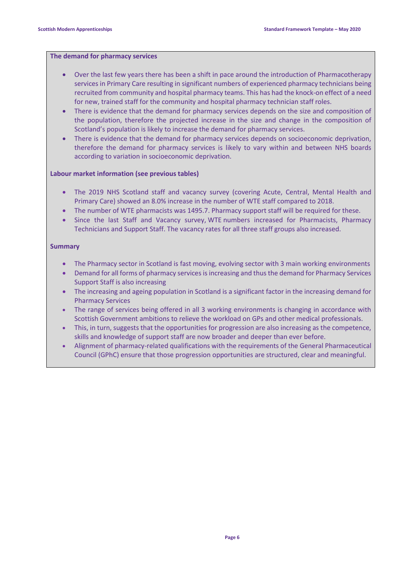### **[The demand for pharmacy services](https://www.nes.scot.nhs.uk/pharmacy-report-2019.html#demand)**

- Over the last few years there has been a shift in pace around the introduction of Pharmacotherapy services in Primary Care resulting in significant numbers of experienced pharmacy technicians being recruited from community and hospital pharmacy teams. This has had the knock-on effect of a need for new, trained staff for the community and hospital pharmacy technician staff roles.
- There is evidence that the demand for pharmacy services depends on the size and composition of the population, therefore the projected increase in the size and change in the composition of Scotland's population is likely to increase the demand for pharmacy services.
- There is evidence that the demand for pharmacy services depends on socioeconomic deprivation, therefore the demand for pharmacy services is likely to vary within and between NHS boards according to variation in socioeconomic deprivation.

#### **[Labour market information](https://www.nes.scot.nhs.uk/pharmacy-report-2019.html#labour-market) (see previous tables)**

- The 2019 NHS Scotland staff and vacancy survey (covering Acute, Central, Mental Health and Primary Care) showed an 8.0% increase in the number of WTE staff compared to 2018.
- The number of WTE pharmacists was 1495.7. Pharmacy support staff will be required for these.
- Since the last Staff and Vacancy survey, WTE numbers increased for Pharmacists, Pharmacy Technicians and Support Staff. The vacancy rates for all three staff groups also increased.

#### **Summary**

- The Pharmacy sector in Scotland is fast moving, evolving sector with 3 main working environments
- Demand for all forms of pharmacy services is increasing and thus the demand for Pharmacy Services Support Staff is also increasing
- The increasing and ageing population in Scotland is a significant factor in the increasing demand for Pharmacy Services
- The range of services being offered in all 3 working environments is changing in accordance with Scottish Government ambitions to relieve the workload on GPs and other medical professionals.
- This, in turn, suggests that the opportunities for progression are also increasing as the competence, skills and knowledge of support staff are now broader and deeper than ever before.
- Alignment of pharmacy-related qualifications with the requirements of the General Pharmaceutical Council (GPhC) ensure that those progression opportunities are structured, clear and meaningful.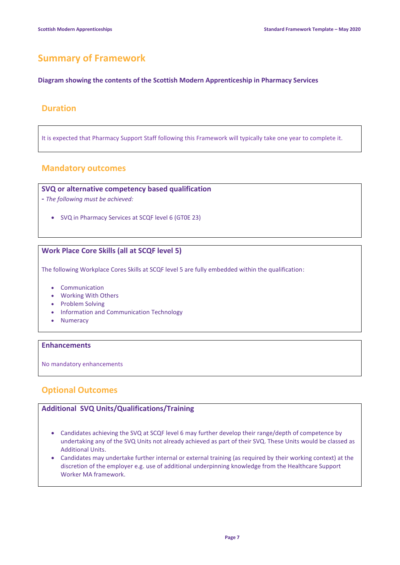# **Summary of Framework**

#### **Diagram showing the contents of the Scottish Modern Apprenticeship in Pharmacy Services**

# **Duration**

It is expected that Pharmacy Support Staff following this Framework will typically take one year to complete it.

# **Mandatory outcomes**

# **SVQ or alternative competency based qualification**

- **-** *The following must be achieved:*
	- SVQ in Pharmacy Services at SCQF level 6 (GT0E 23)

# **Work Place Core Skills (all at SCQF level 5)**

The following Workplace Cores Skills at SCQF level 5 are fully embedded within the qualification:

- Communication
- Working With Others
- Problem Solving
- Information and Communication Technology
- Numeracy

### **Enhancements**

No mandatory enhancements

# **Optional Outcomes**

# **Additional SVQ Units/Qualifications/Training**

- Candidates achieving the SVQ at SCQF level 6 may further develop their range/depth of competence by undertaking any of the SVQ Units not already achieved as part of their SVQ. These Units would be classed as Additional Units.
- Candidates may undertake further internal or external training (as required by their working context) at the discretion of the employer e.g. use of additional underpinning knowledge from the Healthcare Support Worker MA framework.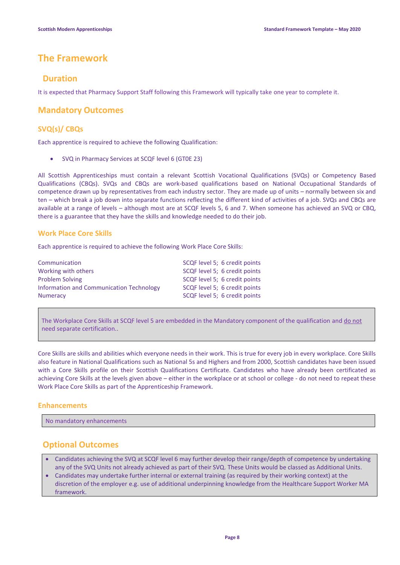# **The Framework**

# **Duration**

It is expected that Pharmacy Support Staff following this Framework will typically take one year to complete it.

# **Mandatory Outcomes**

# **SVQ(s)/ CBQs**

Each apprentice is required to achieve the following Qualification:

• SVQ in Pharmacy Services at SCQF level 6 (GT0E 23)

All Scottish Apprenticeships must contain a relevant Scottish Vocational Qualifications (SVQs) or Competency Based Qualifications (CBQs). SVQs and CBQs are work-based qualifications based on National Occupational Standards of competence drawn up by representatives from each industry sector. They are made up of units – normally between six and ten – which break a job down into separate functions reflecting the different kind of activities of a job. SVQs and CBQs are available at a range of levels – although most are at SCQF levels 5, 6 and 7. When someone has achieved an SVQ or CBQ, there is a guarantee that they have the skills and knowledge needed to do their job.

### **Work Place Core Skills**

Each apprentice is required to achieve the following Work Place Core Skills:

| Communication                            | SCQF level 5; 6 credit points |
|------------------------------------------|-------------------------------|
| Working with others                      | SCQF level 5; 6 credit points |
| <b>Problem Solving</b>                   | SCQF level 5; 6 credit points |
| Information and Communication Technology | SCQF level 5; 6 credit points |
| <b>Numeracy</b>                          | SCQF level 5; 6 credit points |

The Workplace Core Skills at SCQF level 5 are embedded in the Mandatory component of the qualification and do not need separate certification..

Core Skills are skills and abilities which everyone needs in their work. This is true for every job in every workplace. Core Skills also feature in National Qualifications such as National 5s and Highers and from 2000, Scottish candidates have been issued with a Core Skills profile on their Scottish Qualifications Certificate. Candidates who have already been certificated as achieving Core Skills at the levels given above – either in the workplace or at school or college - do not need to repeat these Work Place Core Skills as part of the Apprenticeship Framework.

# **Enhancements**

No mandatory enhancements

# **Optional Outcomes**

- Candidates achieving the SVQ at SCQF level 6 may further develop their range/depth of competence by undertaking any of the SVQ Units not already achieved as part of their SVQ. These Units would be classed as Additional Units.
- Candidates may undertake further internal or external training (as required by their working context) at the discretion of the employer e.g. use of additional underpinning knowledge from the Healthcare Support Worker MA framework.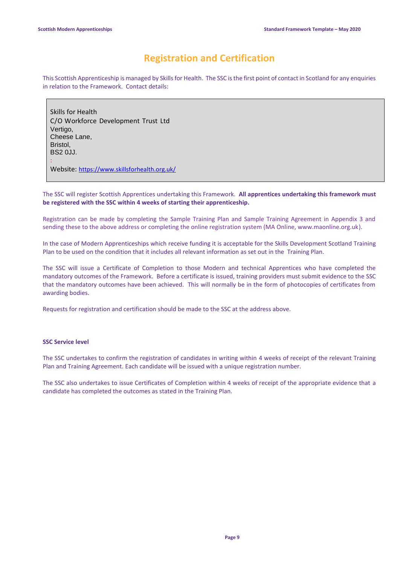# **Registration and Certification**

This Scottish Apprenticeship is managed by Skills for Health. The SSC is the first point of contact in Scotland for any enquiries in relation to the Framework. Contact details:

Skills for Health C/O Workforce Development Trust Ltd Vertigo, Cheese Lane, Bristol, BS2 0JJ. : Website: <https://www.skillsforhealth.org.uk/>

The SSC will register Scottish Apprentices undertaking this Framework. **All apprentices undertaking this framework must be registered with the SSC within 4 weeks of starting their apprenticeship.**

Registration can be made by completing the Sample Training Plan and Sample Training Agreement in Appendix 3 and sending these to the above address or completing the online registration system (MA Online, www.maonline.org.uk).

In the case of Modern Apprenticeships which receive funding it is acceptable for the Skills Development Scotland Training Plan to be used on the condition that it includes all relevant information as set out in the Training Plan.

The SSC will issue a Certificate of Completion to those Modern and technical Apprentices who have completed the mandatory outcomes of the Framework. Before a certificate is issued, training providers must submit evidence to the SSC that the mandatory outcomes have been achieved. This will normally be in the form of photocopies of certificates from awarding bodies.

Requests for registration and certification should be made to the SSC at the address above.

### **SSC Service level**

The SSC undertakes to confirm the registration of candidates in writing within 4 weeks of receipt of the relevant Training Plan and Training Agreement. Each candidate will be issued with a unique registration number.

The SSC also undertakes to issue Certificates of Completion within 4 weeks of receipt of the appropriate evidence that a candidate has completed the outcomes as stated in the Training Plan.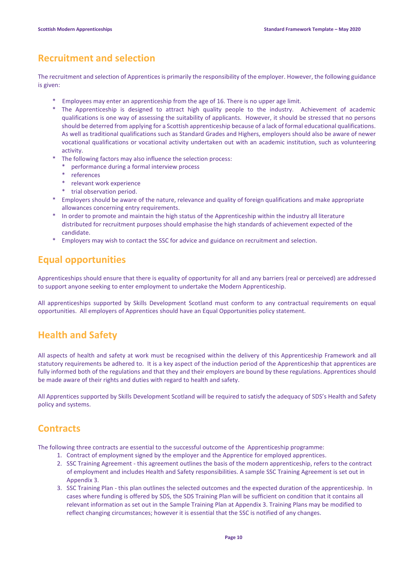# **Recruitment and selection**

The recruitment and selection of Apprentices is primarily the responsibility of the employer. However, the following guidance is given:

- Employees may enter an apprenticeship from the age of 16. There is no upper age limit.
- \* The Apprenticeship is designed to attract high quality people to the industry. Achievement of academic qualifications is one way of assessing the suitability of applicants. However, it should be stressed that no persons should be deterred from applying for a Scottish apprenticeship because of a lack of formal educational qualifications. As well as traditional qualifications such as Standard Grades and Highers, employers should also be aware of newer vocational qualifications or vocational activity undertaken out with an academic institution, such as volunteering activity.
- The following factors may also influence the selection process:
	- \* performance during a formal interview process
	- \* references
	- \* relevant work experience
	- \* trial observation period.
- \* Employers should be aware of the nature, relevance and quality of foreign qualifications and make appropriate allowances concerning entry requirements.
- \* In order to promote and maintain the high status of the Apprenticeship within the industry all literature distributed for recruitment purposes should emphasise the high standards of achievement expected of the candidate.
- \* Employers may wish to contact the SSC for advice and guidance on recruitment and selection.

# **Equal opportunities**

Apprenticeships should ensure that there is equality of opportunity for all and any barriers (real or perceived) are addressed to support anyone seeking to enter employment to undertake the Modern Apprenticeship.

All apprenticeships supported by Skills Development Scotland must conform to any contractual requirements on equal opportunities. All employers of Apprentices should have an Equal Opportunities policy statement.

# **Health and Safety**

All aspects of health and safety at work must be recognised within the delivery of this Apprenticeship Framework and all statutory requirements be adhered to. It is a key aspect of the induction period of the Apprenticeship that apprentices are fully informed both of the regulations and that they and their employers are bound by these regulations. Apprentices should be made aware of their rights and duties with regard to health and safety.

All Apprentices supported by Skills Development Scotland will be required to satisfy the adequacy of SDS's Health and Safety policy and systems.

# **Contracts**

The following three contracts are essential to the successful outcome of the Apprenticeship programme:

- 1. Contract of employment signed by the employer and the Apprentice for employed apprentices.
- 2. SSC Training Agreement this agreement outlines the basis of the modern apprenticeship, refers to the contract of employment and includes Health and Safety responsibilities. A sample SSC Training Agreement is set out in Appendix 3.
- 3. SSC Training Plan this plan outlines the selected outcomes and the expected duration of the apprenticeship. In cases where funding is offered by SDS, the SDS Training Plan will be sufficient on condition that it contains all relevant information as set out in the Sample Training Plan at Appendix 3. Training Plans may be modified to reflect changing circumstances; however it is essential that the SSC is notified of any changes.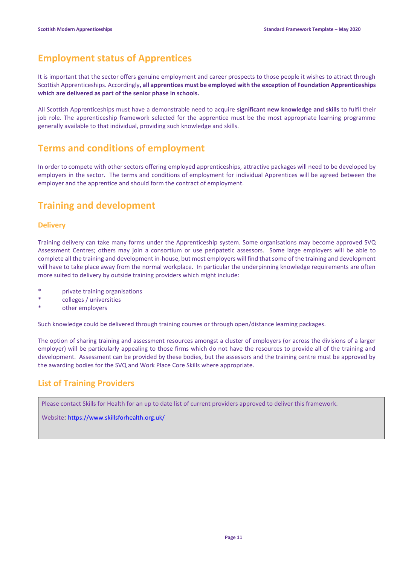# **Employment status of Apprentices**

It is important that the sector offers genuine employment and career prospects to those people it wishes to attract through Scottish Apprenticeships. Accordingly**, all apprentices must be employed with the exception of Foundation Apprenticeships which are delivered as part of the senior phase in schools.**

All Scottish Apprenticeships must have a demonstrable need to acquire **significant new knowledge and skills** to fulfil their job role. The apprenticeship framework selected for the apprentice must be the most appropriate learning programme generally available to that individual, providing such knowledge and skills.

# **Terms and conditions of employment**

In order to compete with other sectors offering employed apprenticeships, attractive packages will need to be developed by employers in the sector. The terms and conditions of employment for individual Apprentices will be agreed between the employer and the apprentice and should form the contract of employment.

# **Training and development**

# **Delivery**

Training delivery can take many forms under the Apprenticeship system. Some organisations may become approved SVQ Assessment Centres; others may join a consortium or use peripatetic assessors. Some large employers will be able to complete all the training and development in-house, but most employers will find that some of the training and development will have to take place away from the normal workplace. In particular the underpinning knowledge requirements are often more suited to delivery by outside training providers which might include:

- \* private training organisations
- \* colleges / universities
- other employers

Such knowledge could be delivered through training courses or through open/distance learning packages.

The option of sharing training and assessment resources amongst a cluster of employers (or across the divisions of a larger employer) will be particularly appealing to those firms which do not have the resources to provide all of the training and development. Assessment can be provided by these bodies, but the assessors and the training centre must be approved by the awarding bodies for the SVQ and Work Place Core Skills where appropriate.

# **List of Training Providers**

Please contact Skills for Health for an up to date list of current providers approved to deliver this framework.

Website: <https://www.skillsforhealth.org.uk/>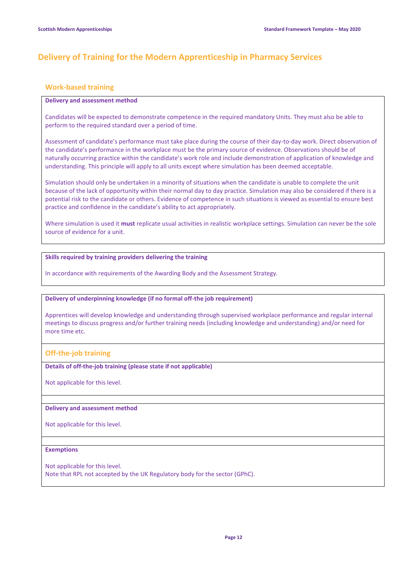# **Delivery of Training for the Modern Apprenticeship in Pharmacy Services**

### **Work-based training**

#### **Delivery and assessment method**

Candidates will be expected to demonstrate competence in the required mandatory Units. They must also be able to perform to the required standard over a period of time.

Assessment of candidate's performance must take place during the course of their day-to-day work. Direct observation of the candidate's performance in the workplace must be the primary source of evidence. Observations should be of naturally occurring practice within the candidate's work role and include demonstration of application of knowledge and understanding. This principle will apply to all units except where simulation has been deemed acceptable.

Simulation should only be undertaken in a minority of situations when the candidate is unable to complete the unit because of the lack of opportunity within their normal day to day practice. Simulation may also be considered if there is a potential risk to the candidate or others. Evidence of competence in such situations is viewed as essential to ensure best practice and confidence in the candidate's ability to act appropriately.

Where simulation is used it **must** replicate usual activities in realistic workplace settings. Simulation can never be the sole source of evidence for a unit.

#### **Skills required by training providers delivering the training**

In accordance with requirements of the Awarding Body and the Assessment Strategy.

#### **Delivery of underpinning knowledge (if no formal off-the job requirement)**

Apprentices will develop knowledge and understanding through supervised workplace performance and regular internal meetings to discuss progress and/or further training needs (including knowledge and understanding) and/or need for more time etc.

#### **Off-the-job training**

**Details of off-the-job training (please state if not applicable)**

Not applicable for this level.

#### **Delivery and assessment method**

Not applicable for this level.

#### **Exemptions**

Not applicable for this level.

Note that RPL not accepted by the UK Regulatory body for the sector (GPhC).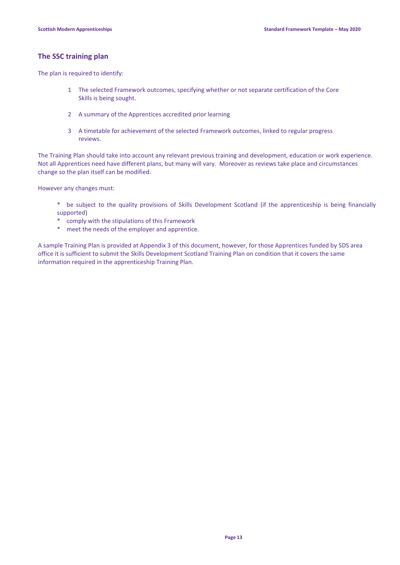# **The SSC training plan**

The plan is required to identify:

- 1 The selected Framework outcomes, specifying whether or not separate certification of the Core Skills is being sought.
- 2 A summary of the Apprentices accredited prior learning
- 3 A timetable for achievement of the selected Framework outcomes, linked to regular progress reviews.

The Training Plan should take into account any relevant previous training and development, education or work experience. Not all Apprentices need have different plans, but many will vary. Moreover as reviews take place and circumstances change so the plan itself can be modified.

However any changes must:

- \* be subject to the quality provisions of Skills Development Scotland (if the apprenticeship is being financially supported)
- \* comply with the stipulations of this Framework
- \* meet the needs of the employer and apprentice.

A sample Training Plan is provided at Appendix 3 of this document, however, for those Apprentices funded by SDS area office it is sufficient to submit the Skills Development Scotland Training Plan on condition that it covers the same information required in the apprenticeship Training Plan.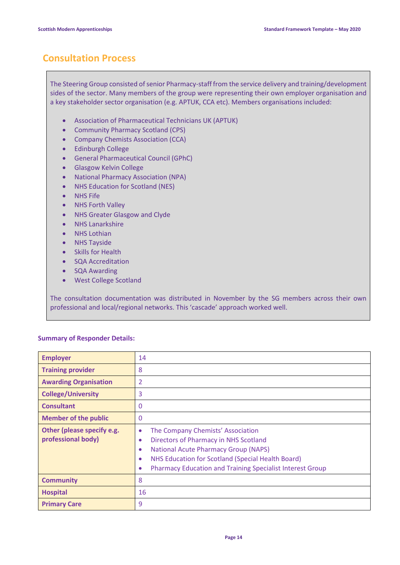# **Consultation Process**

The Steering Group consisted of senior Pharmacy-staff from the service delivery and training/development sides of the sector. Many members of the group were representing their own employer organisation and a key stakeholder sector organisation (e.g. APTUK, CCA etc). Members organisations included:

- Association of Pharmaceutical Technicians UK (APTUK)
- Community Pharmacy Scotland (CPS)
- Company Chemists Association (CCA)
- Edinburgh College
- General Pharmaceutical Council (GPhC)
- Glasgow Kelvin College
- National Pharmacy Association (NPA)
- NHS Education for Scotland (NES)
- NHS Fife
- NHS Forth Valley
- NHS Greater Glasgow and Clyde
- NHS Lanarkshire
- **NHS Lothian**
- NHS Tayside
- **Skills for Health**
- SQA Accreditation
- SQA Awarding
- West College Scotland

The consultation documentation was distributed in November by the SG members across their own professional and local/regional networks. This 'cascade' approach worked well.

#### **Summary of Responder Details:**

| <b>Employer</b>                                  | 14                                                                                                                                                                                                                                                                                                                  |
|--------------------------------------------------|---------------------------------------------------------------------------------------------------------------------------------------------------------------------------------------------------------------------------------------------------------------------------------------------------------------------|
| <b>Training provider</b>                         | 8                                                                                                                                                                                                                                                                                                                   |
| <b>Awarding Organisation</b>                     | $\overline{2}$                                                                                                                                                                                                                                                                                                      |
| <b>College/University</b>                        | 3                                                                                                                                                                                                                                                                                                                   |
| <b>Consultant</b>                                | 0                                                                                                                                                                                                                                                                                                                   |
| <b>Member of the public</b>                      | 0                                                                                                                                                                                                                                                                                                                   |
| Other (please specify e.g.<br>professional body) | The Company Chemists' Association<br>$\bullet$<br>Directors of Pharmacy in NHS Scotland<br>$\bullet$<br><b>National Acute Pharmacy Group (NAPS)</b><br>$\bullet$<br>NHS Education for Scotland (Special Health Board)<br>$\bullet$<br><b>Pharmacy Education and Training Specialist Interest Group</b><br>$\bullet$ |
| <b>Community</b>                                 | 8                                                                                                                                                                                                                                                                                                                   |
| <b>Hospital</b>                                  | 16                                                                                                                                                                                                                                                                                                                  |
| <b>Primary Care</b>                              | 9                                                                                                                                                                                                                                                                                                                   |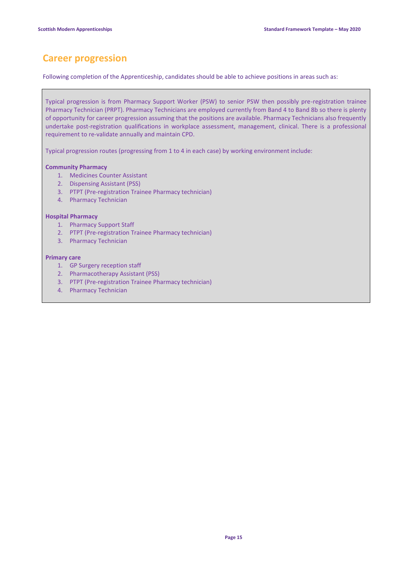# **Career progression**

Following completion of the Apprenticeship, candidates should be able to achieve positions in areas such as:

Typical progression is from Pharmacy Support Worker (PSW) to senior PSW then possibly pre-registration trainee Pharmacy Technician (PRPT). Pharmacy Technicians are employed currently from Band 4 to Band 8b so there is plenty of opportunity for career progression assuming that the positions are available. Pharmacy Technicians also frequently undertake post-registration qualifications in workplace assessment, management, clinical. There is a professional requirement to re-validate annually and maintain CPD.

Typical progression routes (progressing from 1 to 4 in each case) by working environment include:

#### **Community Pharmacy**

- 1. Medicines Counter Assistant
- 2. Dispensing Assistant (PSS)
- 3. PTPT (Pre-registration Trainee Pharmacy technician)
- 4. Pharmacy Technician

#### **Hospital Pharmacy**

- 1. Pharmacy Support Staff
- 2. PTPT (Pre-registration Trainee Pharmacy technician)
- 3. Pharmacy Technician

#### **Primary care**

- 1. GP Surgery reception staff
- 2. Pharmacotherapy Assistant (PSS)
- 3. PTPT (Pre-registration Trainee Pharmacy technician)
- 4. Pharmacy Technician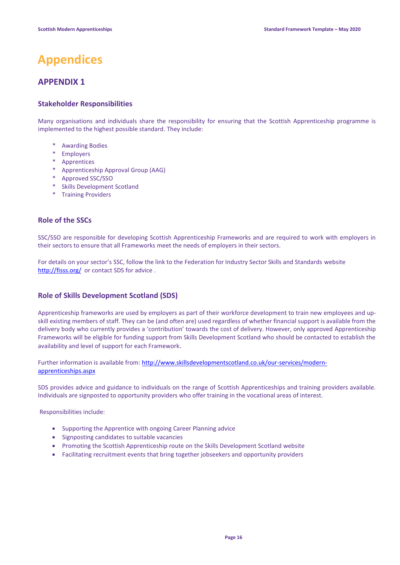# **Appendices**

# **APPENDIX 1**

# **Stakeholder Responsibilities**

Many organisations and individuals share the responsibility for ensuring that the Scottish Apprenticeship programme is implemented to the highest possible standard. They include:

- \* Awarding Bodies
- \* Employers
- \* Apprentices
- \* Apprenticeship Approval Group (AAG)
- \* Approved SSC/SSO
- \* Skills Development Scotland
- \* Training Providers

# **Role of the SSCs**

SSC/SSO are responsible for developing Scottish Apprenticeship Frameworks and are required to work with employers in their sectors to ensure that all Frameworks meet the needs of employers in their sectors.

For details on your sector's SSC, follow the link to the Federation for Industry Sector Skills and Standards website <http://fisss.org/>or contact SDS for advice .

# **Role of Skills Development Scotland (SDS)**

Apprenticeship frameworks are used by employers as part of their workforce development to train new employees and upskill existing members of staff. They can be (and often are) used regardless of whether financial support is available from the delivery body who currently provides a 'contribution' towards the cost of delivery. However, only approved Apprenticeship Frameworks will be eligible for funding support from Skills Development Scotland who should be contacted to establish the availability and level of support for each Framework.

Further information is available from[: http://www.skillsdevelopmentscotland.co.uk/our-services/modern](http://www.skillsdevelopmentscotland.co.uk/our-services/modern-apprenticeships.aspx)[apprenticeships.aspx](http://www.skillsdevelopmentscotland.co.uk/our-services/modern-apprenticeships.aspx)

SDS provides advice and guidance to individuals on the range of Scottish Apprenticeships and training providers available. Individuals are signposted to opportunity providers who offer training in the vocational areas of interest.

Responsibilities include:

- Supporting the Apprentice with ongoing Career Planning advice
- Signposting candidates to suitable vacancies
- Promoting the Scottish Apprenticeship route on the Skills Development Scotland website
- Facilitating recruitment events that bring together jobseekers and opportunity providers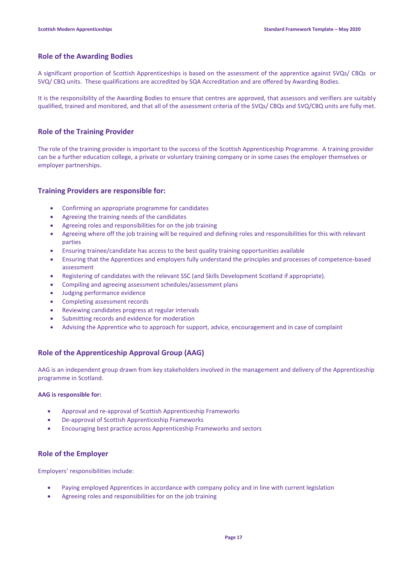### **Role of the Awarding Bodies**

A significant proportion of Scottish Apprenticeships is based on the assessment of the apprentice against SVQs/ CBQs or SVQ/ CBQ units. These qualifications are accredited by SQA Accreditation and are offered by Awarding Bodies.

It is the responsibility of the Awarding Bodies to ensure that centres are approved, that assessors and verifiers are suitably qualified, trained and monitored, and that all of the assessment criteria of the SVQs/ CBQs and SVQ/CBQ units are fully met.

### **Role of the Training Provider**

The role of the training provider is important to the success of the Scottish Apprenticeship Programme. A training provider can be a further education college, a private or voluntary training company or in some cases the employer themselves or employer partnerships.

### **Training Providers are responsible for:**

- Confirming an appropriate programme for candidates
- Agreeing the training needs of the candidates
- Agreeing roles and responsibilities for on the job training
- Agreeing where off the job training will be required and defining roles and responsibilities for this with relevant parties
- Ensuring trainee/candidate has access to the best quality training opportunities available
- Ensuring that the Apprentices and employers fully understand the principles and processes of competence-based assessment
- Registering of candidates with the relevant SSC (and Skills Development Scotland if appropriate).
- Compiling and agreeing assessment schedules/assessment plans
- Judging performance evidence
- Completing assessment records
- Reviewing candidates progress at regular intervals
- Submitting records and evidence for moderation
- Advising the Apprentice who to approach for support, advice, encouragement and in case of complaint

# **Role of the Apprenticeship Approval Group (AAG)**

AAG is an independent group drawn from key stakeholders involved in the management and delivery of the Apprenticeship programme in Scotland.

#### **AAG is responsible for:**

- Approval and re-approval of Scottish Apprenticeship Frameworks
- De-approval of Scottish Apprenticeship Frameworks
- Encouraging best practice across Apprenticeship Frameworks and sectors

# **Role of the Employer**

Employers' responsibilities include:

- Paying employed Apprentices in accordance with company policy and in line with current legislation
- Agreeing roles and responsibilities for on the job training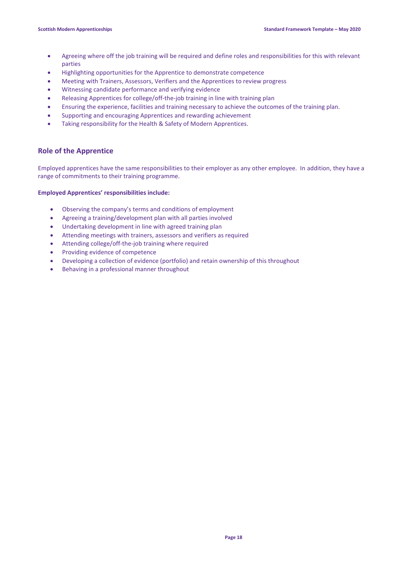- Agreeing where off the job training will be required and define roles and responsibilities for this with relevant parties
- Highlighting opportunities for the Apprentice to demonstrate competence
- Meeting with Trainers, Assessors, Verifiers and the Apprentices to review progress
- Witnessing candidate performance and verifying evidence
- Releasing Apprentices for college/off-the-job training in line with training plan
- Ensuring the experience, facilities and training necessary to achieve the outcomes of the training plan.
- Supporting and encouraging Apprentices and rewarding achievement
- Taking responsibility for the Health & Safety of Modern Apprentices.

### **Role of the Apprentice**

Employed apprentices have the same responsibilities to their employer as any other employee. In addition, they have a range of commitments to their training programme.

#### **Employed Apprentices' responsibilities include:**

- Observing the company's terms and conditions of employment
- Agreeing a training/development plan with all parties involved
- Undertaking development in line with agreed training plan
- Attending meetings with trainers, assessors and verifiers as required
- Attending college/off-the-job training where required
- Providing evidence of competence
- Developing a collection of evidence (portfolio) and retain ownership of this throughout
- Behaving in a professional manner throughout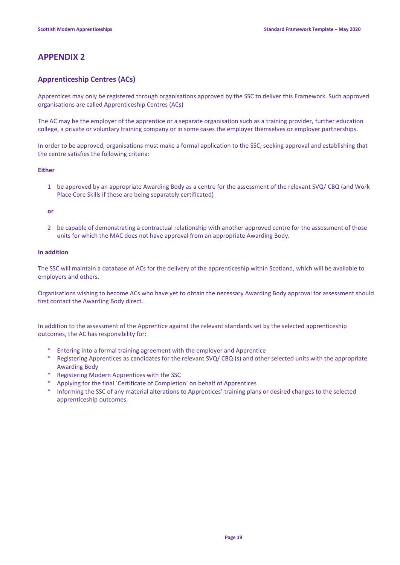# **APPENDIX 2**

# **Apprenticeship Centres (ACs)**

Apprentices may only be registered through organisations approved by the SSC to deliver this Framework. Such approved organisations are called Apprenticeship Centres (ACs)

The AC may be the employer of the apprentice or a separate organisation such as a training provider, further education college, a private or voluntary training company or in some cases the employer themselves or employer partnerships.

In order to be approved, organisations must make a formal application to the SSC, seeking approval and establishing that the centre satisfies the following criteria:

#### **Either**

1 be approved by an appropriate Awarding Body as a centre for the assessment of the relevant SVQ/ CBQ (and Work Place Core Skills if these are being separately certificated)

#### **or**

2 be capable of demonstrating a contractual relationship with another approved centre for the assessment of those units for which the MAC does not have approval from an appropriate Awarding Body.

#### **In addition**

The SSC will maintain a database of ACs for the delivery of the apprenticeship within Scotland, which will be available to employers and others.

Organisations wishing to become ACs who have yet to obtain the necessary Awarding Body approval for assessment should first contact the Awarding Body direct.

In addition to the assessment of the Apprentice against the relevant standards set by the selected apprenticeship outcomes, the AC has responsibility for:

- \* Entering into a formal training agreement with the employer and Apprentice
- \* Registering Apprentices as candidates for the relevant SVQ/ CBQ (s) and other selected units with the appropriate Awarding Body
- \* Registering Modern Apprentices with the SSC
- \* Applying for the final `Certificate of Completion' on behalf of Apprentices
- \* Informing the SSC of any material alterations to Apprentices' training plans or desired changes to the selected apprenticeship outcomes.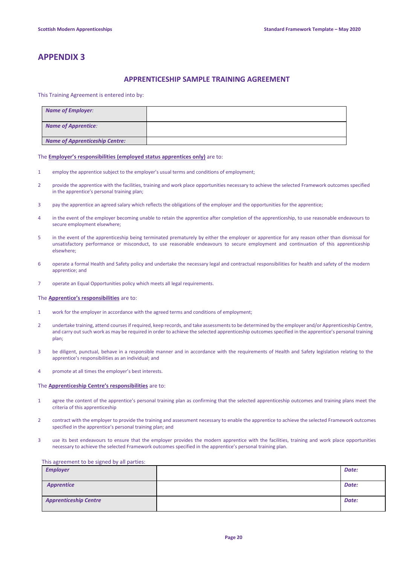# **APPENDIX 3**

### **APPRENTICESHIP SAMPLE TRAINING AGREEMENT**

#### This Training Agreement is entered into by:

| <b>Name of Employer:</b>              |  |
|---------------------------------------|--|
| <b>Name of Apprentice:</b>            |  |
| <b>Name of Apprenticeship Centre:</b> |  |

#### The **Employer's responsibilities (employed status apprentices only)** are to:

- 1 employ the apprentice subject to the employer's usual terms and conditions of employment;
- 2 provide the apprentice with the facilities, training and work place opportunities necessary to achieve the selected Framework outcomes specified in the apprentice's personal training plan;
- 3 pay the apprentice an agreed salary which reflects the obligations of the employer and the opportunities for the apprentice;
- 4 in the event of the employer becoming unable to retain the apprentice after completion of the apprenticeship, to use reasonable endeavours to secure employment elsewhere;
- 5 in the event of the apprenticeship being terminated prematurely by either the employer or apprentice for any reason other than dismissal for unsatisfactory performance or misconduct, to use reasonable endeavours to secure employment and continuation of this apprenticeship elsewhere;
- 6 operate a formal Health and Safety policy and undertake the necessary legal and contractual responsibilities for health and safety of the modern apprentice; and
- 7 operate an Equal Opportunities policy which meets all legal requirements.

#### The **Apprentice's responsibilities** are to:

- 1 work for the employer in accordance with the agreed terms and conditions of employment;
- 2 undertake training, attend courses if required, keep records, and take assessments to be determined by the employer and/or Apprenticeship Centre, and carry out such work as may be required in order to achieve the selected apprenticeship outcomes specified in the apprentice's personal training plan;
- 3 be diligent, punctual, behave in a responsible manner and in accordance with the requirements of Health and Safety legislation relating to the apprentice's responsibilities as an individual; and
- 4 promote at all times the employer's best interests.

#### The **Apprenticeship Centre's responsibilities** are to:

- 1 agree the content of the apprentice's personal training plan as confirming that the selected apprenticeship outcomes and training plans meet the criteria of this apprenticeship
- 2 contract with the employer to provide the training and assessment necessary to enable the apprentice to achieve the selected Framework outcomes specified in the apprentice's personal training plan; and
- 3 use its best endeavours to ensure that the employer provides the modern apprentice with the facilities, training and work place opportunities necessary to achieve the selected Framework outcomes specified in the apprentice's personal training plan.

#### This agreement to be signed by all parties:

| <b>Employer</b>              | Date: |
|------------------------------|-------|
| <b>Apprentice</b>            | Date: |
| <b>Apprenticeship Centre</b> | Date: |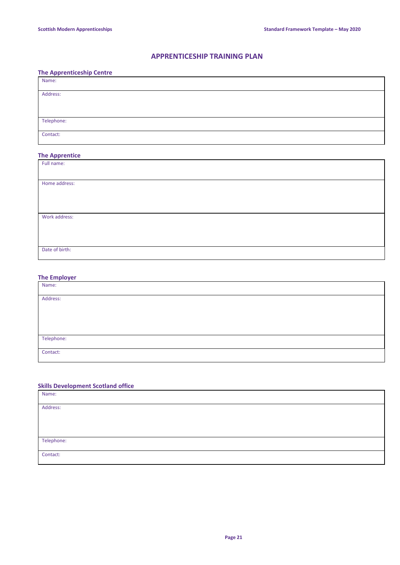# **APPRENTICESHIP TRAINING PLAN**

### **The Apprenticeship Centre**

| Name: |            |
|-------|------------|
|       | Address:   |
|       |            |
|       | Telephone: |
|       | Contact:   |

# **The Apprentice**

| Full name:     |  |
|----------------|--|
|                |  |
| Home address:  |  |
|                |  |
|                |  |
|                |  |
| Work address:  |  |
|                |  |
|                |  |
|                |  |
| Date of birth: |  |
|                |  |

### **The Employer**

| Name:      |  |
|------------|--|
|            |  |
| Address:   |  |
|            |  |
|            |  |
|            |  |
|            |  |
|            |  |
| Telephone: |  |
|            |  |
| Contact:   |  |
|            |  |

### **Skills Development Scotland office**

| Name:      |  |
|------------|--|
| Address:   |  |
|            |  |
|            |  |
| Telephone: |  |
| Contact:   |  |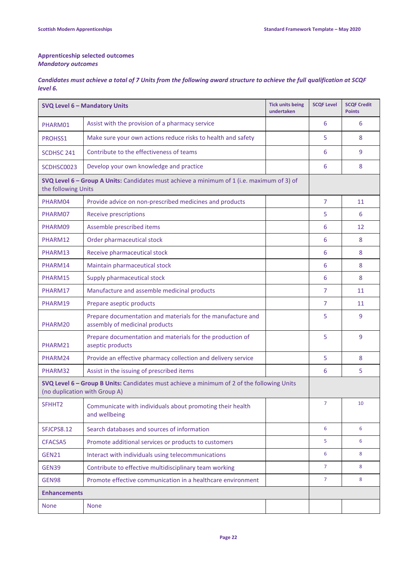### **Apprenticeship selected outcomes** *Mandatory outcomes*

*Candidates must achieve a total of 7 Units from the following award structure to achieve the full qualification at SCQF level 6.*

| <b>SVQ Level 6 - Mandatory Units</b>                                                                                        |                                                                                               | <b>Tick units being</b><br>undertaken | <b>SCQF Level</b> | <b>SCQF Credit</b><br><b>Points</b> |  |
|-----------------------------------------------------------------------------------------------------------------------------|-----------------------------------------------------------------------------------------------|---------------------------------------|-------------------|-------------------------------------|--|
| PHARM01                                                                                                                     | Assist with the provision of a pharmacy service                                               |                                       | 6                 | 6                                   |  |
| PROHSS1                                                                                                                     | Make sure your own actions reduce risks to health and safety                                  |                                       | 5                 | 8                                   |  |
| SCDHSC 241                                                                                                                  | Contribute to the effectiveness of teams                                                      |                                       | 6                 | 9                                   |  |
| SCDHSC0023                                                                                                                  | Develop your own knowledge and practice                                                       |                                       | 6                 | 8                                   |  |
| SVQ Level 6 - Group A Units: Candidates must achieve a minimum of 1 (i.e. maximum of 3) of<br>the following Units           |                                                                                               |                                       |                   |                                     |  |
| PHARM04                                                                                                                     | Provide advice on non-prescribed medicines and products                                       |                                       | 7                 | 11                                  |  |
| PHARM07                                                                                                                     | <b>Receive prescriptions</b>                                                                  |                                       | 5                 | 6                                   |  |
| PHARM09                                                                                                                     | Assemble prescribed items                                                                     |                                       | 6                 | 12                                  |  |
| PHARM12                                                                                                                     | Order pharmaceutical stock                                                                    |                                       | 6                 | 8                                   |  |
| PHARM13                                                                                                                     | Receive pharmaceutical stock                                                                  |                                       | 6                 | 8                                   |  |
| PHARM14                                                                                                                     | Maintain pharmaceutical stock                                                                 |                                       | 6                 | 8                                   |  |
| PHARM15                                                                                                                     | Supply pharmaceutical stock                                                                   |                                       | 6                 | 8                                   |  |
| PHARM17                                                                                                                     | Manufacture and assemble medicinal products                                                   |                                       | $\overline{7}$    | 11                                  |  |
| PHARM19                                                                                                                     | Prepare aseptic products                                                                      |                                       | 7                 | 11                                  |  |
| PHARM20                                                                                                                     | Prepare documentation and materials for the manufacture and<br>assembly of medicinal products |                                       | 5                 | 9                                   |  |
| PHARM21                                                                                                                     | Prepare documentation and materials for the production of<br>aseptic products                 |                                       | 5                 | 9                                   |  |
| PHARM24                                                                                                                     | Provide an effective pharmacy collection and delivery service                                 |                                       | 5                 | 8                                   |  |
| PHARM32                                                                                                                     | Assist in the issuing of prescribed items                                                     |                                       | 6                 | 5                                   |  |
| SVQ Level 6 - Group B Units: Candidates must achieve a minimum of 2 of the following Units<br>(no duplication with Group A) |                                                                                               |                                       |                   |                                     |  |
| SFHHT2                                                                                                                      | Communicate with individuals about promoting their health<br>and wellbeing                    |                                       | 7                 | 10                                  |  |
| SFJCPS8.12                                                                                                                  | Search databases and sources of information                                                   |                                       | 6                 | 6                                   |  |
| CFACSA5                                                                                                                     | Promote additional services or products to customers                                          |                                       | 5                 | 6                                   |  |
| <b>GEN21</b>                                                                                                                | Interact with individuals using telecommunications                                            |                                       | 6                 | 8                                   |  |
| GEN39                                                                                                                       | Contribute to effective multidisciplinary team working                                        |                                       | $\overline{7}$    | 8                                   |  |
| GEN98                                                                                                                       | Promote effective communication in a healthcare environment                                   |                                       | $\overline{7}$    | 8                                   |  |
| <b>Enhancements</b>                                                                                                         |                                                                                               |                                       |                   |                                     |  |
| <b>None</b>                                                                                                                 | <b>None</b>                                                                                   |                                       |                   |                                     |  |